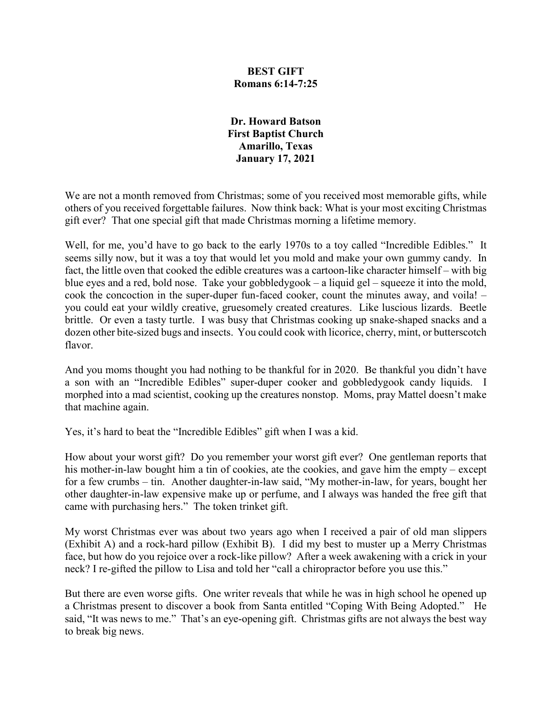### **BEST GIFT Romans 6:14-7:25**

**Dr. Howard Batson First Baptist Church Amarillo, Texas January 17, 2021**

We are not a month removed from Christmas; some of you received most memorable gifts, while others of you received forgettable failures. Now think back: What is your most exciting Christmas gift ever? That one special gift that made Christmas morning a lifetime memory.

Well, for me, you'd have to go back to the early 1970s to a toy called "Incredible Edibles." It seems silly now, but it was a toy that would let you mold and make your own gummy candy. In fact, the little oven that cooked the edible creatures was a cartoon-like character himself – with big blue eyes and a red, bold nose. Take your gobbledygook – a liquid gel – squeeze it into the mold, cook the concoction in the super-duper fun-faced cooker, count the minutes away, and voila! – you could eat your wildly creative, gruesomely created creatures. Like luscious lizards. Beetle brittle. Or even a tasty turtle. I was busy that Christmas cooking up snake-shaped snacks and a dozen other bite-sized bugs and insects. You could cook with licorice, cherry, mint, or butterscotch flavor.

And you moms thought you had nothing to be thankful for in 2020. Be thankful you didn't have a son with an "Incredible Edibles" super-duper cooker and gobbledygook candy liquids. I morphed into a mad scientist, cooking up the creatures nonstop. Moms, pray Mattel doesn't make that machine again.

Yes, it's hard to beat the "Incredible Edibles" gift when I was a kid.

How about your worst gift? Do you remember your worst gift ever? One gentleman reports that his mother-in-law bought him a tin of cookies, ate the cookies, and gave him the empty – except for a few crumbs – tin. Another daughter-in-law said, "My mother-in-law, for years, bought her other daughter-in-law expensive make up or perfume, and I always was handed the free gift that came with purchasing hers." The token trinket gift.

My worst Christmas ever was about two years ago when I received a pair of old man slippers (Exhibit A) and a rock-hard pillow (Exhibit B). I did my best to muster up a Merry Christmas face, but how do you rejoice over a rock-like pillow? After a week awakening with a crick in your neck? I re-gifted the pillow to Lisa and told her "call a chiropractor before you use this."

But there are even worse gifts. One writer reveals that while he was in high school he opened up a Christmas present to discover a book from Santa entitled "Coping With Being Adopted." He said, "It was news to me." That's an eye-opening gift. Christmas gifts are not always the best way to break big news.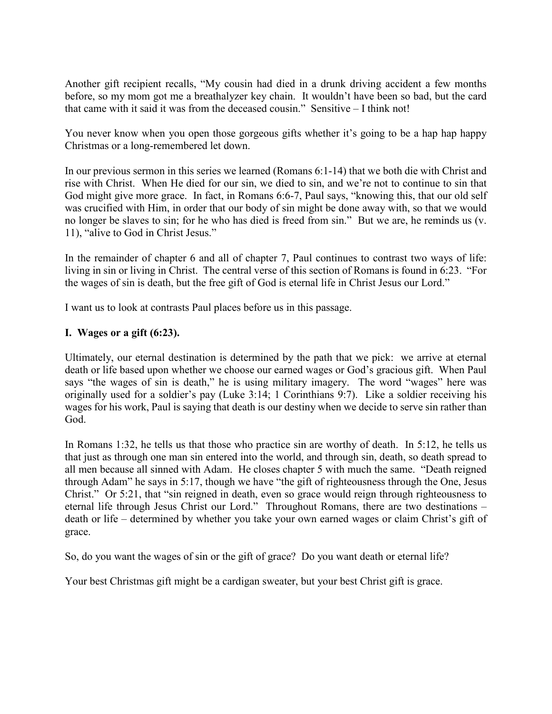Another gift recipient recalls, "My cousin had died in a drunk driving accident a few months before, so my mom got me a breathalyzer key chain. It wouldn't have been so bad, but the card that came with it said it was from the deceased cousin." Sensitive – I think not!

You never know when you open those gorgeous gifts whether it's going to be a hap happy Christmas or a long-remembered let down.

In our previous sermon in this series we learned (Romans 6:1-14) that we both die with Christ and rise with Christ. When He died for our sin, we died to sin, and we're not to continue to sin that God might give more grace. In fact, in Romans 6:6-7, Paul says, "knowing this, that our old self was crucified with Him, in order that our body of sin might be done away with, so that we would no longer be slaves to sin; for he who has died is freed from sin." But we are, he reminds us (v. 11), "alive to God in Christ Jesus."

In the remainder of chapter 6 and all of chapter 7, Paul continues to contrast two ways of life: living in sin or living in Christ. The central verse of this section of Romans is found in 6:23. "For the wages of sin is death, but the free gift of God is eternal life in Christ Jesus our Lord."

I want us to look at contrasts Paul places before us in this passage.

# **I. Wages or a gift (6:23).**

Ultimately, our eternal destination is determined by the path that we pick: we arrive at eternal death or life based upon whether we choose our earned wages or God's gracious gift. When Paul says "the wages of sin is death," he is using military imagery. The word "wages" here was originally used for a soldier's pay (Luke 3:14; 1 Corinthians 9:7). Like a soldier receiving his wages for his work, Paul is saying that death is our destiny when we decide to serve sin rather than God.

In Romans 1:32, he tells us that those who practice sin are worthy of death. In 5:12, he tells us that just as through one man sin entered into the world, and through sin, death, so death spread to all men because all sinned with Adam. He closes chapter 5 with much the same. "Death reigned through Adam" he says in 5:17, though we have "the gift of righteousness through the One, Jesus Christ." Or 5:21, that "sin reigned in death, even so grace would reign through righteousness to eternal life through Jesus Christ our Lord." Throughout Romans, there are two destinations – death or life – determined by whether you take your own earned wages or claim Christ's gift of grace.

So, do you want the wages of sin or the gift of grace? Do you want death or eternal life?

Your best Christmas gift might be a cardigan sweater, but your best Christ gift is grace.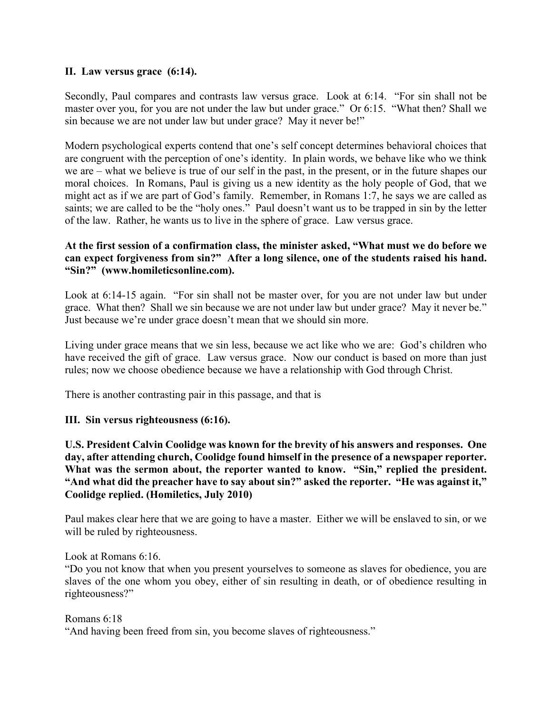## **II. Law versus grace (6:14).**

Secondly, Paul compares and contrasts law versus grace. Look at 6:14. "For sin shall not be master over you, for you are not under the law but under grace." Or 6:15. "What then? Shall we sin because we are not under law but under grace? May it never be!"

Modern psychological experts contend that one's self concept determines behavioral choices that are congruent with the perception of one's identity. In plain words, we behave like who we think we are – what we believe is true of our self in the past, in the present, or in the future shapes our moral choices. In Romans, Paul is giving us a new identity as the holy people of God, that we might act as if we are part of God's family. Remember, in Romans 1:7, he says we are called as saints; we are called to be the "holy ones." Paul doesn't want us to be trapped in sin by the letter of the law. Rather, he wants us to live in the sphere of grace. Law versus grace.

## **At the first session of a confirmation class, the minister asked, "What must we do before we can expect forgiveness from sin?" After a long silence, one of the students raised his hand. "Sin?" (www.homileticsonline.com).**

Look at 6:14-15 again. "For sin shall not be master over, for you are not under law but under grace. What then? Shall we sin because we are not under law but under grace? May it never be." Just because we're under grace doesn't mean that we should sin more.

Living under grace means that we sin less, because we act like who we are: God's children who have received the gift of grace. Law versus grace. Now our conduct is based on more than just rules; now we choose obedience because we have a relationship with God through Christ.

There is another contrasting pair in this passage, and that is

#### **III. Sin versus righteousness (6:16).**

**U.S. President Calvin Coolidge was known for the brevity of his answers and responses. One day, after attending church, Coolidge found himself in the presence of a newspaper reporter.**  What was the sermon about, the reporter wanted to know. "Sin," replied the president. **"And what did the preacher have to say about sin?" asked the reporter. "He was against it," Coolidge replied. (Homiletics, July 2010)**

Paul makes clear here that we are going to have a master. Either we will be enslaved to sin, or we will be ruled by righteousness.

#### Look at Romans 6:16.

"Do you not know that when you present yourselves to someone as slaves for obedience, you are slaves of the one whom you obey, either of sin resulting in death, or of obedience resulting in righteousness?"

Romans 6:18 "And having been freed from sin, you become slaves of righteousness."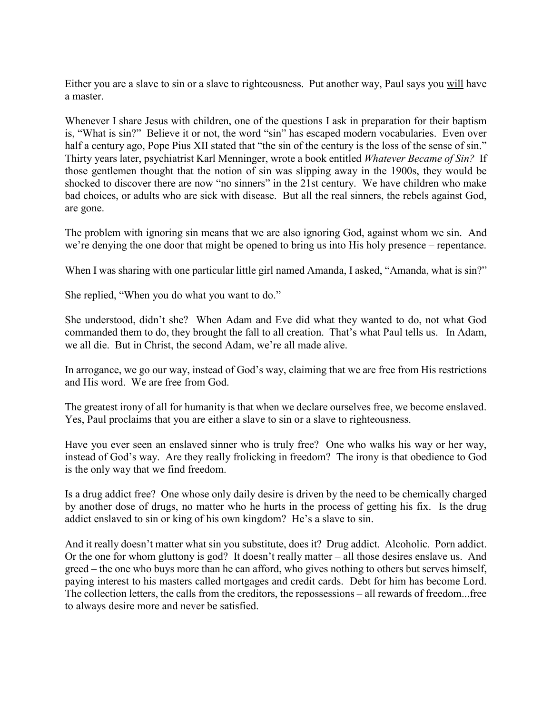Either you are a slave to sin or a slave to righteousness. Put another way, Paul says you will have a master.

Whenever I share Jesus with children, one of the questions I ask in preparation for their baptism is, "What is sin?" Believe it or not, the word "sin" has escaped modern vocabularies. Even over half a century ago, Pope Pius XII stated that "the sin of the century is the loss of the sense of sin." Thirty years later, psychiatrist Karl Menninger, wrote a book entitled *Whatever Became of Sin?* If those gentlemen thought that the notion of sin was slipping away in the 1900s, they would be shocked to discover there are now "no sinners" in the 21st century. We have children who make bad choices, or adults who are sick with disease. But all the real sinners, the rebels against God, are gone.

The problem with ignoring sin means that we are also ignoring God, against whom we sin. And we're denying the one door that might be opened to bring us into His holy presence – repentance.

When I was sharing with one particular little girl named Amanda, I asked, "Amanda, what is  $\sin$ ?"

She replied, "When you do what you want to do."

She understood, didn't she? When Adam and Eve did what they wanted to do, not what God commanded them to do, they brought the fall to all creation. That's what Paul tells us. In Adam, we all die. But in Christ, the second Adam, we're all made alive.

In arrogance, we go our way, instead of God's way, claiming that we are free from His restrictions and His word. We are free from God.

The greatest irony of all for humanity is that when we declare ourselves free, we become enslaved. Yes, Paul proclaims that you are either a slave to sin or a slave to righteousness.

Have you ever seen an enslaved sinner who is truly free? One who walks his way or her way, instead of God's way. Are they really frolicking in freedom? The irony is that obedience to God is the only way that we find freedom.

Is a drug addict free? One whose only daily desire is driven by the need to be chemically charged by another dose of drugs, no matter who he hurts in the process of getting his fix. Is the drug addict enslaved to sin or king of his own kingdom? He's a slave to sin.

And it really doesn't matter what sin you substitute, does it? Drug addict. Alcoholic. Porn addict. Or the one for whom gluttony is god? It doesn't really matter – all those desires enslave us. And greed – the one who buys more than he can afford, who gives nothing to others but serves himself, paying interest to his masters called mortgages and credit cards. Debt for him has become Lord. The collection letters, the calls from the creditors, the repossessions – all rewards of freedom...free to always desire more and never be satisfied.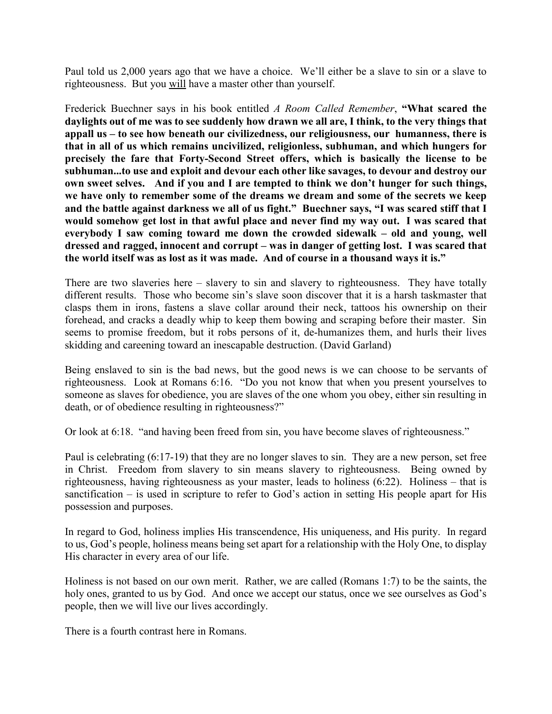Paul told us 2,000 years ago that we have a choice. We'll either be a slave to sin or a slave to righteousness. But you will have a master other than yourself.

Frederick Buechner says in his book entitled *A Room Called Remember*, **"What scared the daylights out of me was to see suddenly how drawn we all are, I think, to the very things that appall us – to see how beneath our civilizedness, our religiousness, our humanness, there is that in all of us which remains uncivilized, religionless, subhuman, and which hungers for precisely the fare that Forty-Second Street offers, which is basically the license to be subhuman...to use and exploit and devour each other like savages, to devour and destroy our own sweet selves. And if you and I are tempted to think we don't hunger for such things, we have only to remember some of the dreams we dream and some of the secrets we keep and the battle against darkness we all of us fight." Buechner says, "I was scared stiff that I would somehow get lost in that awful place and never find my way out. I was scared that everybody I saw coming toward me down the crowded sidewalk – old and young, well dressed and ragged, innocent and corrupt – was in danger of getting lost. I was scared that the world itself was as lost as it was made. And of course in a thousand ways it is."**

There are two slaveries here – slavery to sin and slavery to righteousness. They have totally different results. Those who become sin's slave soon discover that it is a harsh taskmaster that clasps them in irons, fastens a slave collar around their neck, tattoos his ownership on their forehead, and cracks a deadly whip to keep them bowing and scraping before their master. Sin seems to promise freedom, but it robs persons of it, de-humanizes them, and hurls their lives skidding and careening toward an inescapable destruction. (David Garland)

Being enslaved to sin is the bad news, but the good news is we can choose to be servants of righteousness. Look at Romans 6:16. "Do you not know that when you present yourselves to someone as slaves for obedience, you are slaves of the one whom you obey, either sin resulting in death, or of obedience resulting in righteousness?"

Or look at 6:18. "and having been freed from sin, you have become slaves of righteousness."

Paul is celebrating (6:17-19) that they are no longer slaves to sin. They are a new person, set free in Christ. Freedom from slavery to sin means slavery to righteousness. Being owned by righteousness, having righteousness as your master, leads to holiness (6:22). Holiness – that is sanctification – is used in scripture to refer to God's action in setting His people apart for His possession and purposes.

In regard to God, holiness implies His transcendence, His uniqueness, and His purity. In regard to us, God's people, holiness means being set apart for a relationship with the Holy One, to display His character in every area of our life.

Holiness is not based on our own merit. Rather, we are called (Romans 1:7) to be the saints, the holy ones, granted to us by God. And once we accept our status, once we see ourselves as God's people, then we will live our lives accordingly.

There is a fourth contrast here in Romans.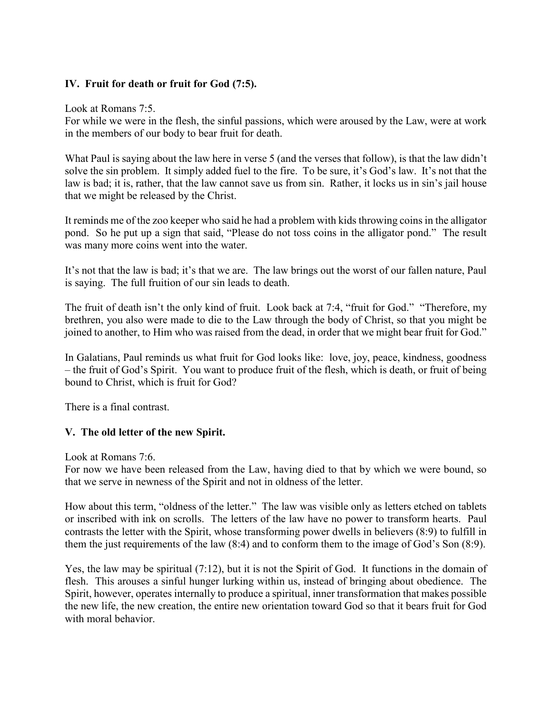# **IV. Fruit for death or fruit for God (7:5).**

Look at Romans 7:5.

For while we were in the flesh, the sinful passions, which were aroused by the Law, were at work in the members of our body to bear fruit for death.

What Paul is saying about the law here in verse 5 (and the verses that follow), is that the law didn't solve the sin problem. It simply added fuel to the fire. To be sure, it's God's law. It's not that the law is bad; it is, rather, that the law cannot save us from sin. Rather, it locks us in sin's jail house that we might be released by the Christ.

It reminds me of the zoo keeper who said he had a problem with kids throwing coins in the alligator pond. So he put up a sign that said, "Please do not toss coins in the alligator pond." The result was many more coins went into the water.

It's not that the law is bad; it's that we are. The law brings out the worst of our fallen nature, Paul is saying. The full fruition of our sin leads to death.

The fruit of death isn't the only kind of fruit. Look back at 7:4, "fruit for God." "Therefore, my brethren, you also were made to die to the Law through the body of Christ, so that you might be joined to another, to Him who was raised from the dead, in order that we might bear fruit for God."

In Galatians, Paul reminds us what fruit for God looks like: love, joy, peace, kindness, goodness – the fruit of God's Spirit. You want to produce fruit of the flesh, which is death, or fruit of being bound to Christ, which is fruit for God?

There is a final contrast.

# **V. The old letter of the new Spirit.**

Look at Romans 7:6.

For now we have been released from the Law, having died to that by which we were bound, so that we serve in newness of the Spirit and not in oldness of the letter.

How about this term, "oldness of the letter." The law was visible only as letters etched on tablets or inscribed with ink on scrolls. The letters of the law have no power to transform hearts. Paul contrasts the letter with the Spirit, whose transforming power dwells in believers (8:9) to fulfill in them the just requirements of the law (8:4) and to conform them to the image of God's Son (8:9).

Yes, the law may be spiritual (7:12), but it is not the Spirit of God. It functions in the domain of flesh. This arouses a sinful hunger lurking within us, instead of bringing about obedience. The Spirit, however, operates internally to produce a spiritual, inner transformation that makes possible the new life, the new creation, the entire new orientation toward God so that it bears fruit for God with moral behavior.